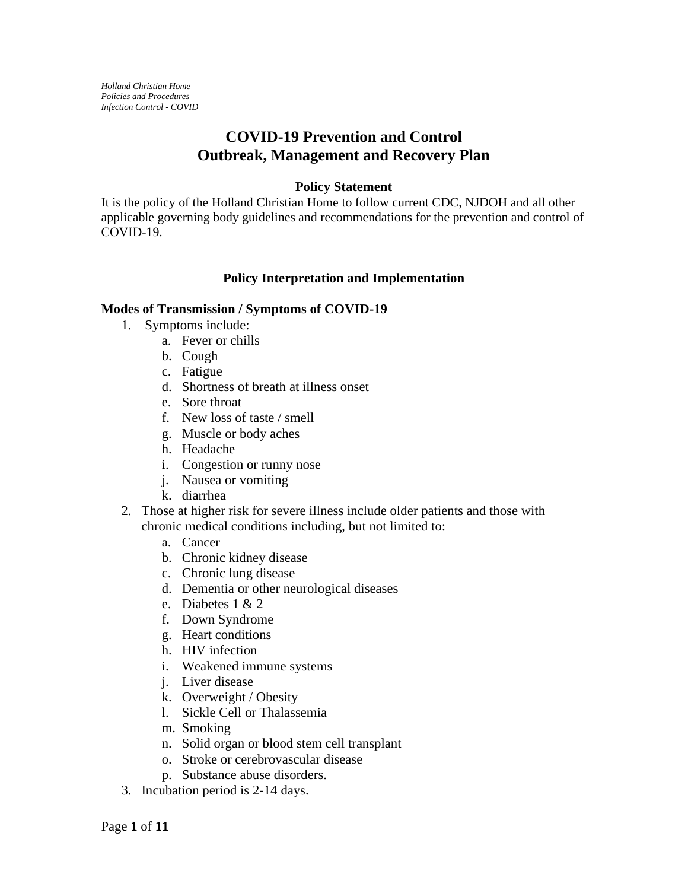*Holland Christian Home Policies and Procedures Infection Control - COVID*

# **COVID-19 Prevention and Control Outbreak, Management and Recovery Plan**

#### **Policy Statement**

It is the policy of the Holland Christian Home to follow current CDC, NJDOH and all other applicable governing body guidelines and recommendations for the prevention and control of COVID-19.

### **Policy Interpretation and Implementation**

#### **Modes of Transmission / Symptoms of COVID-19**

- 1. Symptoms include:
	- a. Fever or chills
	- b. Cough
	- c. Fatigue
	- d. Shortness of breath at illness onset
	- e. Sore throat
	- f. New loss of taste / smell
	- g. Muscle or body aches
	- h. Headache
	- i. Congestion or runny nose
	- j. Nausea or vomiting
	- k. diarrhea
- 2. Those at higher risk for severe illness include older patients and those with chronic medical conditions including, but not limited to:
	- a. Cancer
	- b. Chronic kidney disease
	- c. Chronic lung disease
	- d. Dementia or other neurological diseases
	- e. Diabetes 1 & 2
	- f. Down Syndrome
	- g. Heart conditions
	- h. HIV infection
	- i. Weakened immune systems
	- j. Liver disease
	- k. Overweight / Obesity
	- l. Sickle Cell or Thalassemia
	- m. Smoking
	- n. Solid organ or blood stem cell transplant
	- o. Stroke or cerebrovascular disease
	- p. Substance abuse disorders.
- 3. Incubation period is 2-14 days.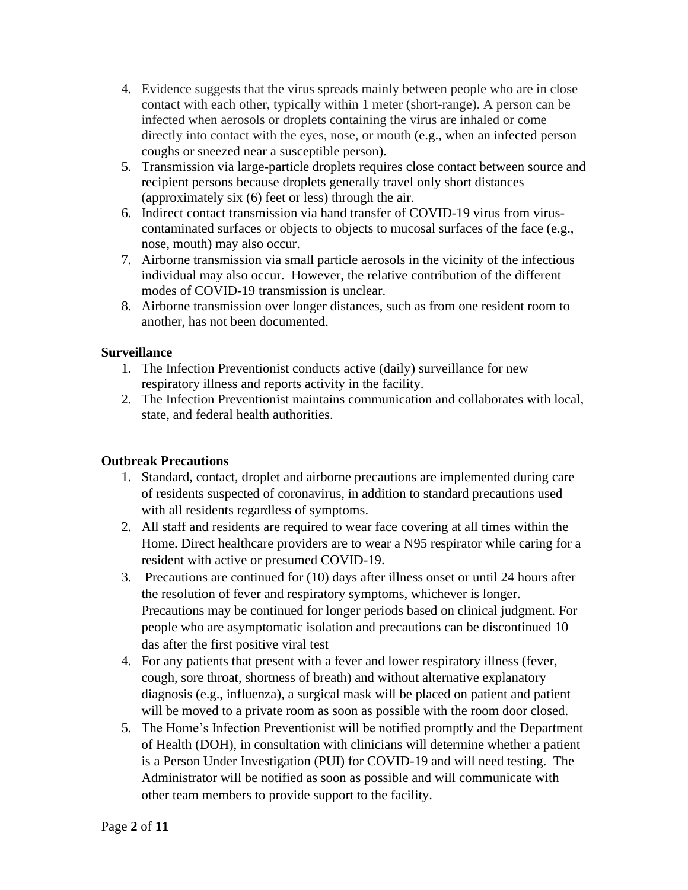- 4. Evidence suggests that the virus spreads mainly between people who are in close contact with each other, typically within 1 meter (short-range). A person can be infected when aerosols or droplets containing the virus are inhaled or come directly into contact with the eyes, nose, or mouth (e.g., when an infected person coughs or sneezed near a susceptible person).
- 5. Transmission via large-particle droplets requires close contact between source and recipient persons because droplets generally travel only short distances (approximately six (6) feet or less) through the air.
- 6. Indirect contact transmission via hand transfer of COVID-19 virus from viruscontaminated surfaces or objects to objects to mucosal surfaces of the face (e.g., nose, mouth) may also occur.
- 7. Airborne transmission via small particle aerosols in the vicinity of the infectious individual may also occur. However, the relative contribution of the different modes of COVID-19 transmission is unclear.
- 8. Airborne transmission over longer distances, such as from one resident room to another, has not been documented.

# **Surveillance**

- 1. The Infection Preventionist conducts active (daily) surveillance for new respiratory illness and reports activity in the facility.
- 2. The Infection Preventionist maintains communication and collaborates with local, state, and federal health authorities.

# **Outbreak Precautions**

- 1. Standard, contact, droplet and airborne precautions are implemented during care of residents suspected of coronavirus, in addition to standard precautions used with all residents regardless of symptoms.
- 2. All staff and residents are required to wear face covering at all times within the Home. Direct healthcare providers are to wear a N95 respirator while caring for a resident with active or presumed COVID-19.
- 3. Precautions are continued for (10) days after illness onset or until 24 hours after the resolution of fever and respiratory symptoms, whichever is longer. Precautions may be continued for longer periods based on clinical judgment. For people who are asymptomatic isolation and precautions can be discontinued 10 das after the first positive viral test
- 4. For any patients that present with a fever and lower respiratory illness (fever, cough, sore throat, shortness of breath) and without alternative explanatory diagnosis (e.g., influenza), a surgical mask will be placed on patient and patient will be moved to a private room as soon as possible with the room door closed.
- 5. The Home's Infection Preventionist will be notified promptly and the Department of Health (DOH), in consultation with clinicians will determine whether a patient is a Person Under Investigation (PUI) for COVID-19 and will need testing. The Administrator will be notified as soon as possible and will communicate with other team members to provide support to the facility.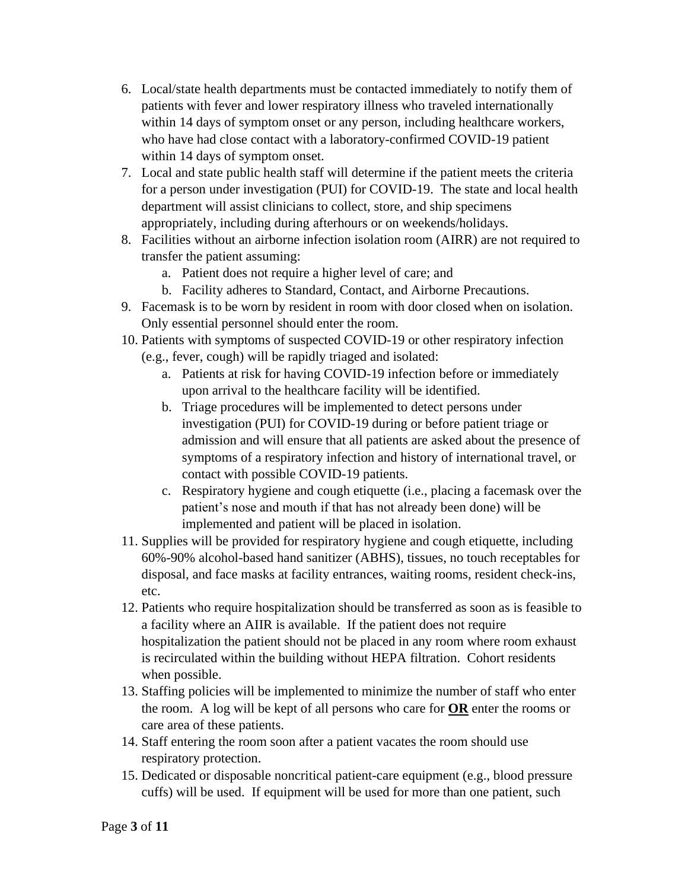- 6. Local/state health departments must be contacted immediately to notify them of patients with fever and lower respiratory illness who traveled internationally within 14 days of symptom onset or any person, including healthcare workers, who have had close contact with a laboratory-confirmed COVID-19 patient within 14 days of symptom onset.
- 7. Local and state public health staff will determine if the patient meets the criteria for a person under investigation (PUI) for COVID-19. The state and local health department will assist clinicians to collect, store, and ship specimens appropriately, including during afterhours or on weekends/holidays.
- 8. Facilities without an airborne infection isolation room (AIRR) are not required to transfer the patient assuming:
	- a. Patient does not require a higher level of care; and
	- b. Facility adheres to Standard, Contact, and Airborne Precautions.
- 9. Facemask is to be worn by resident in room with door closed when on isolation. Only essential personnel should enter the room.
- 10. Patients with symptoms of suspected COVID-19 or other respiratory infection (e.g., fever, cough) will be rapidly triaged and isolated:
	- a. Patients at risk for having COVID-19 infection before or immediately upon arrival to the healthcare facility will be identified.
	- b. Triage procedures will be implemented to detect persons under investigation (PUI) for COVID-19 during or before patient triage or admission and will ensure that all patients are asked about the presence of symptoms of a respiratory infection and history of international travel, or contact with possible COVID-19 patients.
	- c. Respiratory hygiene and cough etiquette (i.e., placing a facemask over the patient's nose and mouth if that has not already been done) will be implemented and patient will be placed in isolation.
- 11. Supplies will be provided for respiratory hygiene and cough etiquette, including 60%-90% alcohol-based hand sanitizer (ABHS), tissues, no touch receptables for disposal, and face masks at facility entrances, waiting rooms, resident check-ins, etc.
- 12. Patients who require hospitalization should be transferred as soon as is feasible to a facility where an AIIR is available. If the patient does not require hospitalization the patient should not be placed in any room where room exhaust is recirculated within the building without HEPA filtration. Cohort residents when possible.
- 13. Staffing policies will be implemented to minimize the number of staff who enter the room. A log will be kept of all persons who care for **OR** enter the rooms or care area of these patients.
- 14. Staff entering the room soon after a patient vacates the room should use respiratory protection.
- 15. Dedicated or disposable noncritical patient-care equipment (e.g., blood pressure cuffs) will be used. If equipment will be used for more than one patient, such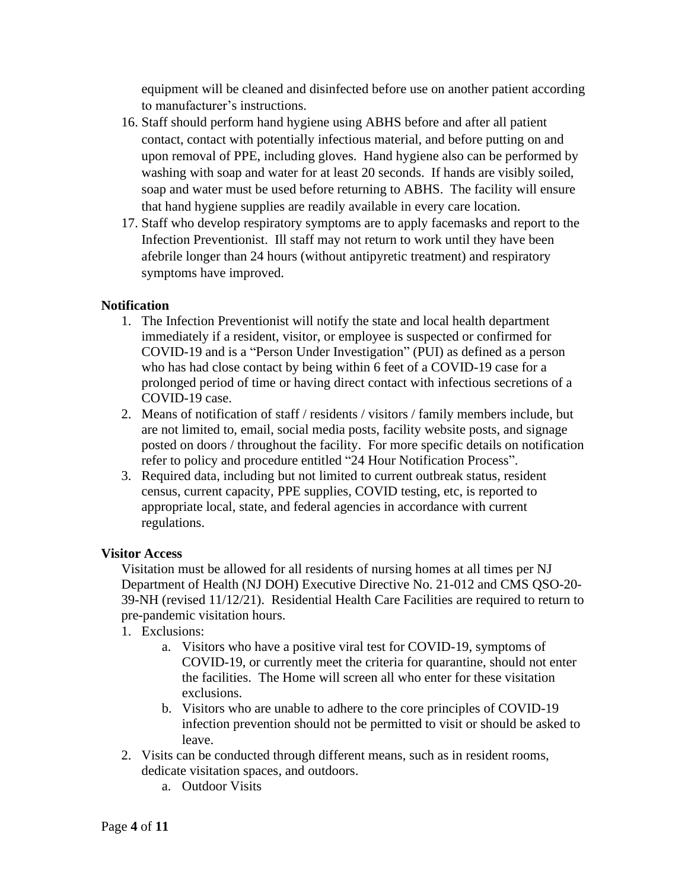equipment will be cleaned and disinfected before use on another patient according to manufacturer's instructions.

- 16. Staff should perform hand hygiene using ABHS before and after all patient contact, contact with potentially infectious material, and before putting on and upon removal of PPE, including gloves. Hand hygiene also can be performed by washing with soap and water for at least 20 seconds. If hands are visibly soiled, soap and water must be used before returning to ABHS. The facility will ensure that hand hygiene supplies are readily available in every care location.
- 17. Staff who develop respiratory symptoms are to apply facemasks and report to the Infection Preventionist. Ill staff may not return to work until they have been afebrile longer than 24 hours (without antipyretic treatment) and respiratory symptoms have improved.

# **Notification**

- 1. The Infection Preventionist will notify the state and local health department immediately if a resident, visitor, or employee is suspected or confirmed for COVID-19 and is a "Person Under Investigation" (PUI) as defined as a person who has had close contact by being within 6 feet of a COVID-19 case for a prolonged period of time or having direct contact with infectious secretions of a COVID-19 case.
- 2. Means of notification of staff / residents / visitors / family members include, but are not limited to, email, social media posts, facility website posts, and signage posted on doors / throughout the facility. For more specific details on notification refer to policy and procedure entitled "24 Hour Notification Process".
- 3. Required data, including but not limited to current outbreak status, resident census, current capacity, PPE supplies, COVID testing, etc, is reported to appropriate local, state, and federal agencies in accordance with current regulations.

### **Visitor Access**

Visitation must be allowed for all residents of nursing homes at all times per NJ Department of Health (NJ DOH) Executive Directive No. 21-012 and CMS QSO-20- 39-NH (revised 11/12/21). Residential Health Care Facilities are required to return to pre-pandemic visitation hours.

- 1. Exclusions:
	- a. Visitors who have a positive viral test for COVID-19, symptoms of COVID-19, or currently meet the criteria for quarantine, should not enter the facilities. The Home will screen all who enter for these visitation exclusions.
	- b. Visitors who are unable to adhere to the core principles of COVID-19 infection prevention should not be permitted to visit or should be asked to leave.
- 2. Visits can be conducted through different means, such as in resident rooms, dedicate visitation spaces, and outdoors.
	- a. Outdoor Visits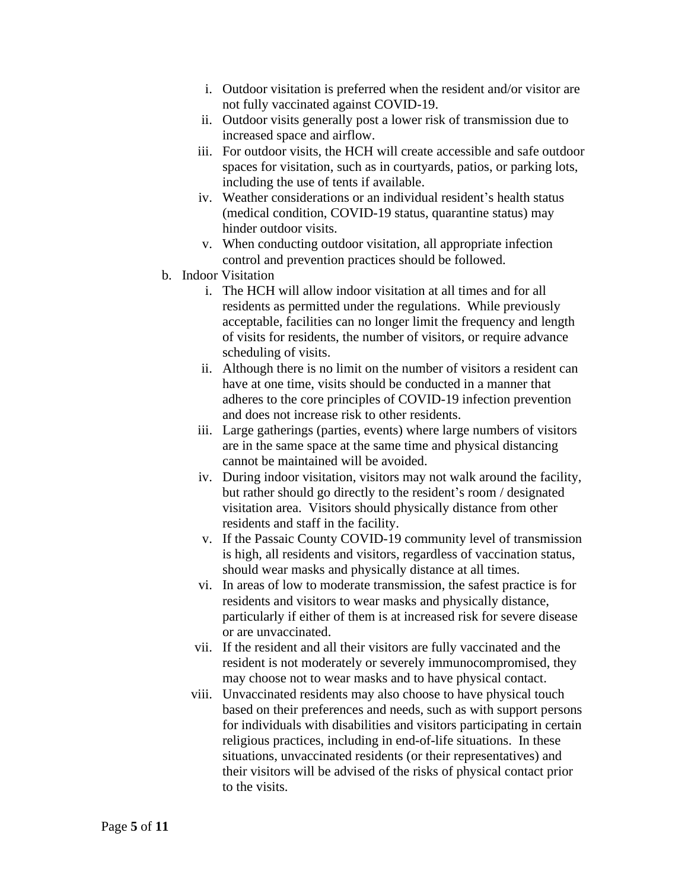- i. Outdoor visitation is preferred when the resident and/or visitor are not fully vaccinated against COVID-19.
- ii. Outdoor visits generally post a lower risk of transmission due to increased space and airflow.
- iii. For outdoor visits, the HCH will create accessible and safe outdoor spaces for visitation, such as in courtyards, patios, or parking lots, including the use of tents if available.
- iv. Weather considerations or an individual resident's health status (medical condition, COVID-19 status, quarantine status) may hinder outdoor visits.
- v. When conducting outdoor visitation, all appropriate infection control and prevention practices should be followed.
- b. Indoor Visitation
	- i. The HCH will allow indoor visitation at all times and for all residents as permitted under the regulations. While previously acceptable, facilities can no longer limit the frequency and length of visits for residents, the number of visitors, or require advance scheduling of visits.
	- ii. Although there is no limit on the number of visitors a resident can have at one time, visits should be conducted in a manner that adheres to the core principles of COVID-19 infection prevention and does not increase risk to other residents.
	- iii. Large gatherings (parties, events) where large numbers of visitors are in the same space at the same time and physical distancing cannot be maintained will be avoided.
	- iv. During indoor visitation, visitors may not walk around the facility, but rather should go directly to the resident's room / designated visitation area. Visitors should physically distance from other residents and staff in the facility.
	- v. If the Passaic County COVID-19 community level of transmission is high, all residents and visitors, regardless of vaccination status, should wear masks and physically distance at all times.
	- vi. In areas of low to moderate transmission, the safest practice is for residents and visitors to wear masks and physically distance, particularly if either of them is at increased risk for severe disease or are unvaccinated.
	- vii. If the resident and all their visitors are fully vaccinated and the resident is not moderately or severely immunocompromised, they may choose not to wear masks and to have physical contact.
	- viii. Unvaccinated residents may also choose to have physical touch based on their preferences and needs, such as with support persons for individuals with disabilities and visitors participating in certain religious practices, including in end-of-life situations. In these situations, unvaccinated residents (or their representatives) and their visitors will be advised of the risks of physical contact prior to the visits.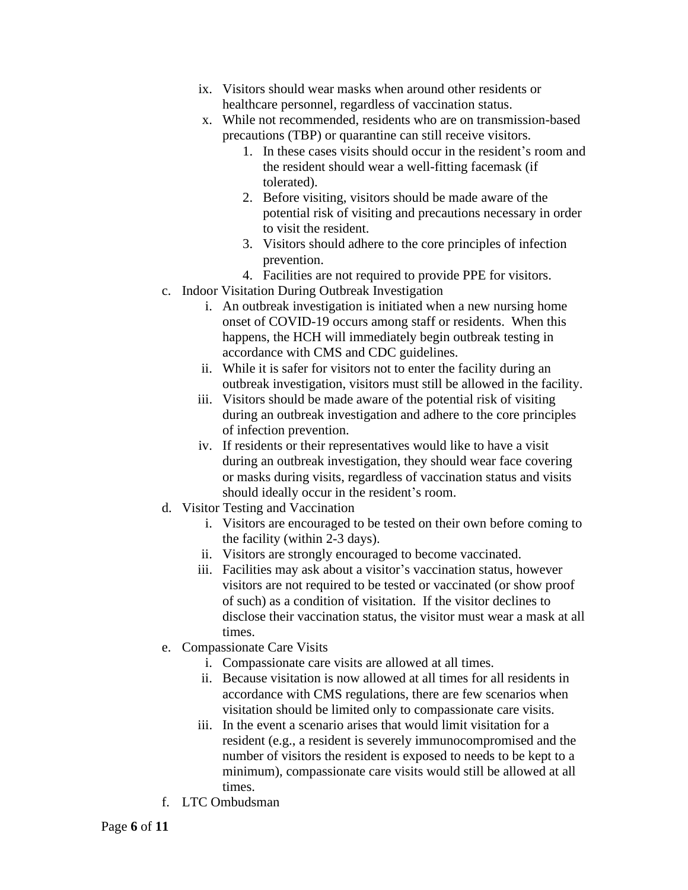- ix. Visitors should wear masks when around other residents or healthcare personnel, regardless of vaccination status.
- x. While not recommended, residents who are on transmission-based precautions (TBP) or quarantine can still receive visitors.
	- 1. In these cases visits should occur in the resident's room and the resident should wear a well-fitting facemask (if tolerated).
	- 2. Before visiting, visitors should be made aware of the potential risk of visiting and precautions necessary in order to visit the resident.
	- 3. Visitors should adhere to the core principles of infection prevention.
	- 4. Facilities are not required to provide PPE for visitors.
- c. Indoor Visitation During Outbreak Investigation
	- i. An outbreak investigation is initiated when a new nursing home onset of COVID-19 occurs among staff or residents. When this happens, the HCH will immediately begin outbreak testing in accordance with CMS and CDC guidelines.
	- ii. While it is safer for visitors not to enter the facility during an outbreak investigation, visitors must still be allowed in the facility.
	- iii. Visitors should be made aware of the potential risk of visiting during an outbreak investigation and adhere to the core principles of infection prevention.
	- iv. If residents or their representatives would like to have a visit during an outbreak investigation, they should wear face covering or masks during visits, regardless of vaccination status and visits should ideally occur in the resident's room.
- d. Visitor Testing and Vaccination
	- i. Visitors are encouraged to be tested on their own before coming to the facility (within 2-3 days).
	- ii. Visitors are strongly encouraged to become vaccinated.
	- iii. Facilities may ask about a visitor's vaccination status, however visitors are not required to be tested or vaccinated (or show proof of such) as a condition of visitation. If the visitor declines to disclose their vaccination status, the visitor must wear a mask at all times.
- e. Compassionate Care Visits
	- i. Compassionate care visits are allowed at all times.
	- ii. Because visitation is now allowed at all times for all residents in accordance with CMS regulations, there are few scenarios when visitation should be limited only to compassionate care visits.
	- iii. In the event a scenario arises that would limit visitation for a resident (e.g., a resident is severely immunocompromised and the number of visitors the resident is exposed to needs to be kept to a minimum), compassionate care visits would still be allowed at all times.
- f. LTC Ombudsman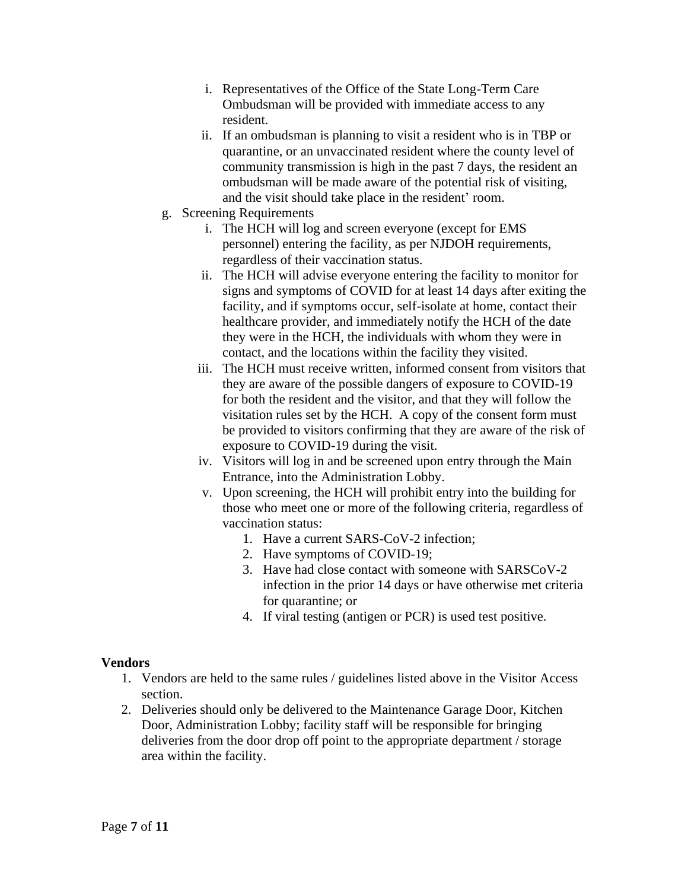- i. Representatives of the Office of the State Long-Term Care Ombudsman will be provided with immediate access to any resident.
- ii. If an ombudsman is planning to visit a resident who is in TBP or quarantine, or an unvaccinated resident where the county level of community transmission is high in the past 7 days, the resident an ombudsman will be made aware of the potential risk of visiting, and the visit should take place in the resident' room.
- g. Screening Requirements
	- i. The HCH will log and screen everyone (except for EMS personnel) entering the facility, as per NJDOH requirements, regardless of their vaccination status.
	- ii. The HCH will advise everyone entering the facility to monitor for signs and symptoms of COVID for at least 14 days after exiting the facility, and if symptoms occur, self-isolate at home, contact their healthcare provider, and immediately notify the HCH of the date they were in the HCH, the individuals with whom they were in contact, and the locations within the facility they visited.
	- iii. The HCH must receive written, informed consent from visitors that they are aware of the possible dangers of exposure to COVID-19 for both the resident and the visitor, and that they will follow the visitation rules set by the HCH. A copy of the consent form must be provided to visitors confirming that they are aware of the risk of exposure to COVID-19 during the visit.
	- iv. Visitors will log in and be screened upon entry through the Main Entrance, into the Administration Lobby.
	- v. Upon screening, the HCH will prohibit entry into the building for those who meet one or more of the following criteria, regardless of vaccination status:
		- 1. Have a current SARS-CoV-2 infection;
		- 2. Have symptoms of COVID-19;
		- 3. Have had close contact with someone with SARSCoV-2 infection in the prior 14 days or have otherwise met criteria for quarantine; or
		- 4. If viral testing (antigen or PCR) is used test positive.

### **Vendors**

- 1. Vendors are held to the same rules / guidelines listed above in the Visitor Access section.
- 2. Deliveries should only be delivered to the Maintenance Garage Door, Kitchen Door, Administration Lobby; facility staff will be responsible for bringing deliveries from the door drop off point to the appropriate department / storage area within the facility.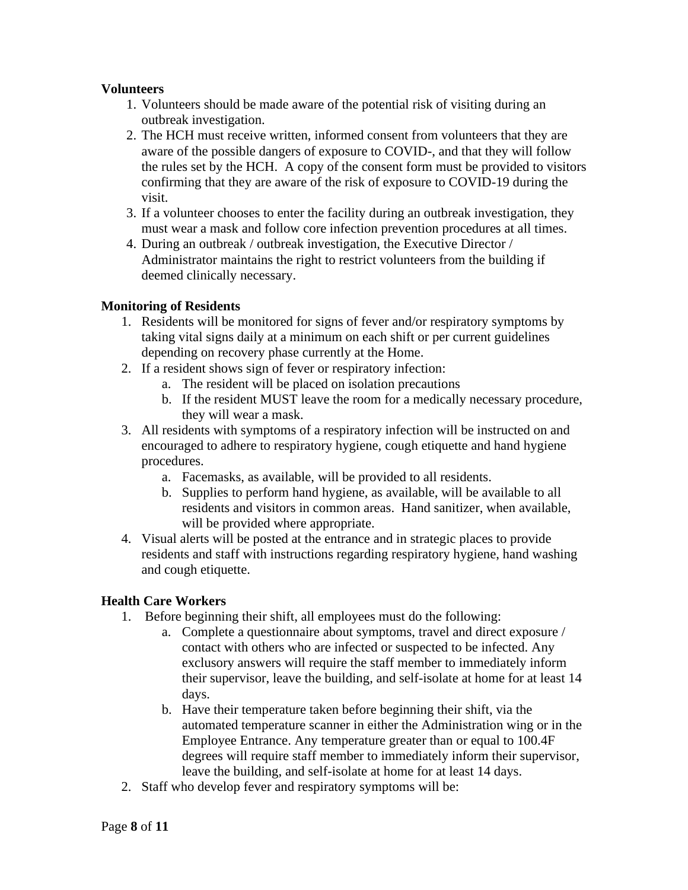## **Volunteers**

- 1. Volunteers should be made aware of the potential risk of visiting during an outbreak investigation.
- 2. The HCH must receive written, informed consent from volunteers that they are aware of the possible dangers of exposure to COVID-, and that they will follow the rules set by the HCH. A copy of the consent form must be provided to visitors confirming that they are aware of the risk of exposure to COVID-19 during the visit.
- 3. If a volunteer chooses to enter the facility during an outbreak investigation, they must wear a mask and follow core infection prevention procedures at all times.
- 4. During an outbreak / outbreak investigation, the Executive Director / Administrator maintains the right to restrict volunteers from the building if deemed clinically necessary.

## **Monitoring of Residents**

- 1. Residents will be monitored for signs of fever and/or respiratory symptoms by taking vital signs daily at a minimum on each shift or per current guidelines depending on recovery phase currently at the Home.
- 2. If a resident shows sign of fever or respiratory infection:
	- a. The resident will be placed on isolation precautions
	- b. If the resident MUST leave the room for a medically necessary procedure, they will wear a mask.
- 3. All residents with symptoms of a respiratory infection will be instructed on and encouraged to adhere to respiratory hygiene, cough etiquette and hand hygiene procedures.
	- a. Facemasks, as available, will be provided to all residents.
	- b. Supplies to perform hand hygiene, as available, will be available to all residents and visitors in common areas. Hand sanitizer, when available, will be provided where appropriate.
- 4. Visual alerts will be posted at the entrance and in strategic places to provide residents and staff with instructions regarding respiratory hygiene, hand washing and cough etiquette.

### **Health Care Workers**

- 1. Before beginning their shift, all employees must do the following:
	- a. Complete a questionnaire about symptoms, travel and direct exposure / contact with others who are infected or suspected to be infected. Any exclusory answers will require the staff member to immediately inform their supervisor, leave the building, and self-isolate at home for at least 14 days.
	- b. Have their temperature taken before beginning their shift, via the automated temperature scanner in either the Administration wing or in the Employee Entrance. Any temperature greater than or equal to 100.4F degrees will require staff member to immediately inform their supervisor, leave the building, and self-isolate at home for at least 14 days.
- 2. Staff who develop fever and respiratory symptoms will be: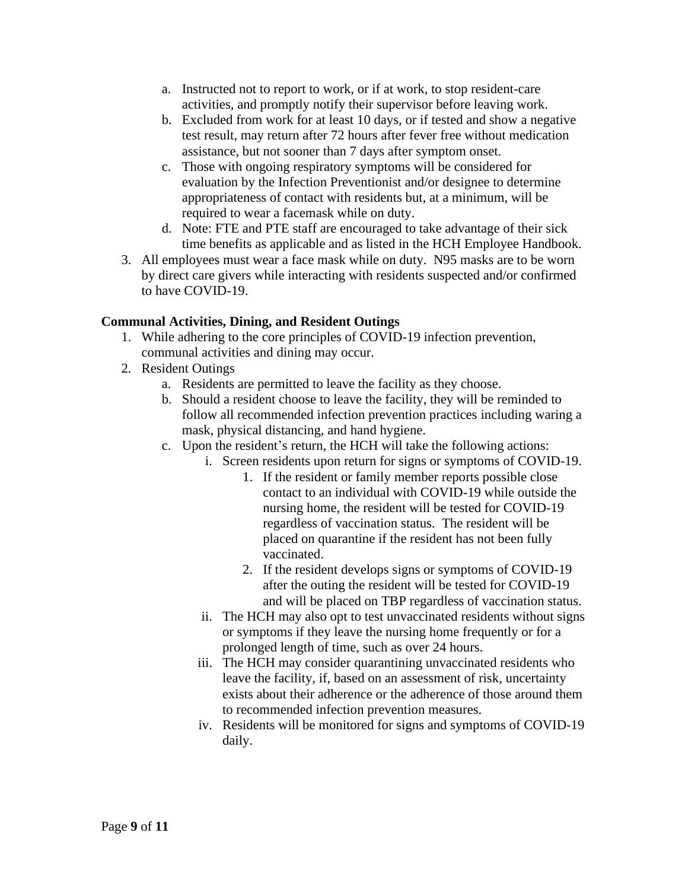- a. Instructed not to report to work, or if at work, to stop resident-care activities, and promptly notify their supervisor before leaving work.
- b. Excluded from work for at least 10 days, or if tested and show a negative test result, may return after 72 hours after fever free without medication assistance, but not sooner than 7 days after symptom onset.
- c. Those with ongoing respiratory symptoms will be considered for evaluation by the Infection Preventionist and/or designee to determine appropriateness of contact with residents but, at a minimum, will be required to wear a facemask while on duty.
- d. Note: FTE and PTE staff are encouraged to take advantage of their sick time benefits as applicable and as listed in the HCH Employee Handbook.
- 3. All employees must wear a face mask while on duty. N95 masks are to be worn by direct care givers while interacting with residents suspected and/or confirmed to have COVID-19.

# **Communal Activities, Dining, and Resident Outings**

- 1. While adhering to the core principles of COVID-19 infection prevention, communal activities and dining may occur.
- 2. Resident Outings
	- a. Residents are permitted to leave the facility as they choose.
	- b. Should a resident choose to leave the facility, they will be reminded to follow all recommended infection prevention practices including waring a mask, physical distancing, and hand hygiene.
	- c. Upon the resident's return, the HCH will take the following actions:
		- i. Screen residents upon return for signs or symptoms of COVID-19.
			- 1. If the resident or family member reports possible close contact to an individual with COVID-19 while outside the nursing home, the resident will be tested for COVID-19 regardless of vaccination status. The resident will be placed on quarantine if the resident has not been fully vaccinated.
			- 2. If the resident develops signs or symptoms of COVID-19 after the outing the resident will be tested for COVID-19 and will be placed on TBP regardless of vaccination status.
			- ii. The HCH may also opt to test unvaccinated residents without signs or symptoms if they leave the nursing home frequently or for a prolonged length of time, such as over 24 hours.
			- iii. The HCH may consider quarantining unvaccinated residents who leave the facility, if, based on an assessment of risk, uncertainty exists about their adherence or the adherence of those around them to recommended infection prevention measures.
			- iv. Residents will be monitored for signs and symptoms of COVID-19 daily.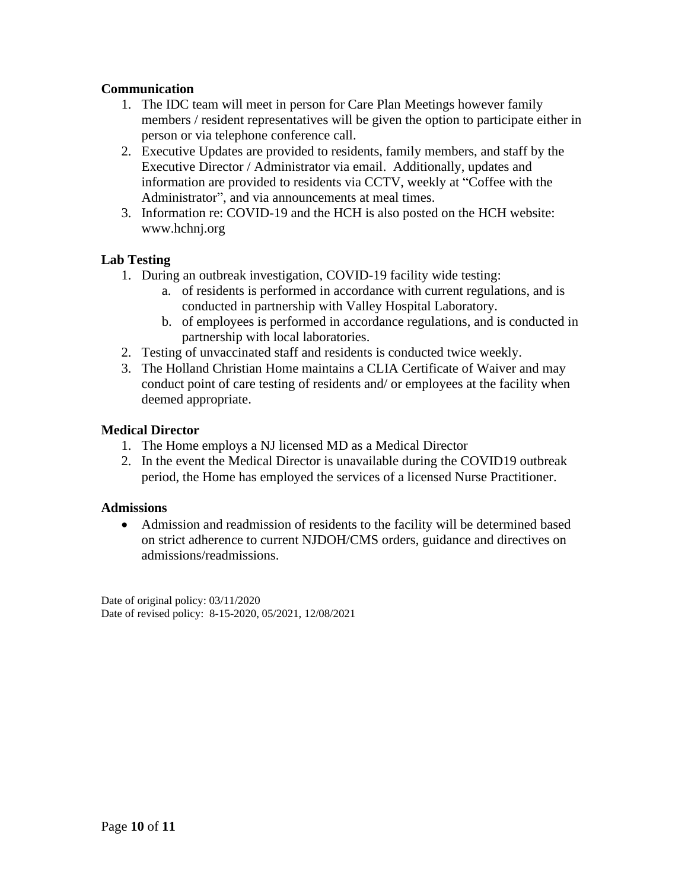# **Communication**

- 1. The IDC team will meet in person for Care Plan Meetings however family members / resident representatives will be given the option to participate either in person or via telephone conference call.
- 2. Executive Updates are provided to residents, family members, and staff by the Executive Director / Administrator via email. Additionally, updates and information are provided to residents via CCTV, weekly at "Coffee with the Administrator", and via announcements at meal times.
- 3. Information re: COVID-19 and the HCH is also posted on the HCH website: www.hchnj.org

## **Lab Testing**

- 1. During an outbreak investigation, COVID-19 facility wide testing:
	- a. of residents is performed in accordance with current regulations, and is conducted in partnership with Valley Hospital Laboratory.
	- b. of employees is performed in accordance regulations, and is conducted in partnership with local laboratories.
- 2. Testing of unvaccinated staff and residents is conducted twice weekly.
- 3. The Holland Christian Home maintains a CLIA Certificate of Waiver and may conduct point of care testing of residents and/ or employees at the facility when deemed appropriate.

### **Medical Director**

- 1. The Home employs a NJ licensed MD as a Medical Director
- 2. In the event the Medical Director is unavailable during the COVID19 outbreak period, the Home has employed the services of a licensed Nurse Practitioner.

### **Admissions**

• Admission and readmission of residents to the facility will be determined based on strict adherence to current NJDOH/CMS orders, guidance and directives on admissions/readmissions.

Date of original policy: 03/11/2020 Date of revised policy: 8-15-2020, 05/2021, 12/08/2021